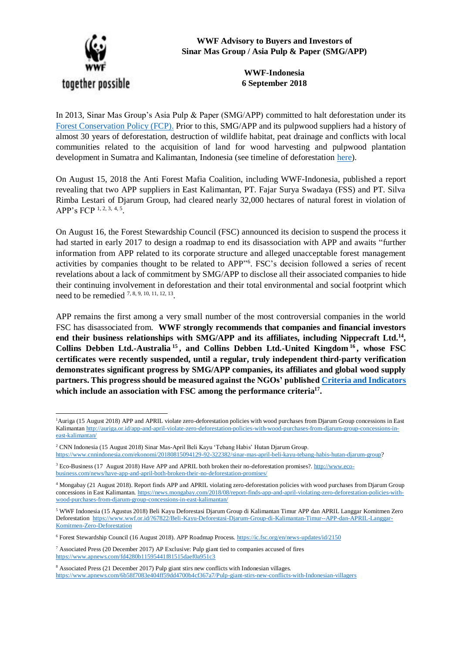

1

**WWF Advisory to Buyers and Investors of Sinar Mas Group / Asia Pulp & Paper (SMG/APP)**

> **WWF-Indonesia 6 September 2018**

In 2013, Sinar Mas Group's Asia Pulp & Paper (SMG/APP) committed to halt deforestation under its [Forest Conservation Policy \(FCP\).](http://www.asiapulppaper.com/sustainability/vision-2020/forest-conservation-policy) Prior to this, SMG/APP and its pulpwood suppliers had a history of almost 30 years of deforestation, destruction of wildlife habitat, peat drainage and conflicts with local communities related to the acquisition of land for wood harvesting and pulpwood plantation development in Sumatra and Kalimantan, Indonesia (see timeline of deforestation [here\)](http://wwf.panda.org/our_work/forests/forest_sector_transformation2/pulp_and_paper2/app_april/deforestation/).

On August 15, 2018 the Anti Forest Mafia Coalition, including WWF-Indonesia, published a report revealing that two APP suppliers in East Kalimantan, PT. Fajar Surya Swadaya (FSS) and PT. Silva Rimba Lestari of Djarum Group, had cleared nearly 32,000 hectares of natural forest in violation of APP's FCP <sup>1, 2, 3, 4, 5</sup>.

On August 16, the Forest Stewardship Council (FSC) announced its decision to suspend the process it had started in early 2017 to design a roadmap to end its disassociation with APP and awaits "further information from APP related to its corporate structure and alleged unacceptable forest management activities by companies thought to be related to APP" 6 . FSC's decision followed a series of recent revelations about a lack of commitment by SMG/APP to disclose all their associated companies to hide their continuing involvement in deforestation and their total environmental and social footprint which need to be remedied  $^{7, 8, 9, 10, 11, 12, 13}$ .

APP remains the first among a very small number of the most controversial companies in the world FSC has disassociated from. **WWF strongly recommends that companies and financial investors end their business relationships with SMG/APP and its affiliates, including Nippecraft Ltd.<sup>14</sup> , Collins Debben Ltd.-Australia <sup>15</sup> , and Collins Debben Ltd.-United Kingdom <sup>16</sup> , whose FSC certificates were recently suspended, until a regular, truly independent third-party verification demonstrates significant progress by SMG/APP companies, its affiliates and global wood supply partners. This progress should be measured against the NGOs' publishe[d Criteria and Indicators](http://eyesontheforest.or.id/files/download/84709e31d2e0174) which include an association with FSC among the performance criteria<sup>17</sup> .** 

<sup>1</sup>Auriga (15 August 2018) APP and APRIL violate zero-deforestation policies with wood purchases from Djarum Group concessions in East Kalimanta[n http://auriga.or.id/app-and-april-violate-zero-deforestation-policies-with-wood-purchases-from-djarum-group-concessions-in](http://auriga.or.id/app-and-april-violate-zero-deforestation-policies-with-wood-purchases-from-djarum-group-concessions-in-east-kalimantan/)[east-kalimantan/](http://auriga.or.id/app-and-april-violate-zero-deforestation-policies-with-wood-purchases-from-djarum-group-concessions-in-east-kalimantan/) 

<sup>2</sup> CNN Indonesia (15 August 2018) Sinar Mas-April Beli Kayu 'Tebang Habis' Hutan Djarum Group. [https://www.cnnindonesia.com/ekonomi/20180815094129-92-322382/sinar-mas-april-beli-kayu-tebang-habis-hutan-djarum-group?](https://www.cnnindonesia.com/ekonomi/20180815094129-92-322382/sinar-mas-april-beli-kayu-tebang-habis-hutan-djarum-group)

<sup>3</sup> Eco-Business (17 August 2018) Have APP and APRIL both broken their no-deforestation promises?[. http://www.eco](http://www.eco-business.com/news/have-app-and-april-both-broken-their-no-deforestation-promises/)[business.com/news/have-app-and-april-both-broken-their-no-deforestation-promises/](http://www.eco-business.com/news/have-app-and-april-both-broken-their-no-deforestation-promises/)

<sup>4</sup> Mongabay (21 August 2018). Report finds APP and APRIL violating zero-deforestation policies with wood purchases from Djarum Group concessions in East Kalimantan[. https://news.mongabay.com/2018/08/report-finds-app-and-april-violating-zero-deforestation-policies-with](https://news.mongabay.com/2018/08/report-finds-app-and-april-violating-zero-deforestation-policies-with-wood-purchases-from-djarum-group-concessions-in-east-kalimantan/)[wood-purchases-from-djarum-group-concessions-in-east-kalimantan/](https://news.mongabay.com/2018/08/report-finds-app-and-april-violating-zero-deforestation-policies-with-wood-purchases-from-djarum-group-concessions-in-east-kalimantan/)

<sup>5</sup> WWF Indonesia (15 Agustus 2018) Beli Kayu Deforestasi Djarum Group di Kalimantan Timur APP dan APRIL Langgar Komitmen Zero Deforestation [https://www.wwf.or.id/?67822/Beli-Kayu-Deforestasi-Djarum-Group-di-Kalimantan-Timur--APP-dan-APRIL-Langgar-](https://www.wwf.or.id/?67822/Beli-Kayu-Deforestasi-Djarum-Group-di-Kalimantan-Timur--APP-dan-APRIL-Langgar-Komitmen-Zero-Deforestation)[Komitmen-Zero-Deforestation](https://www.wwf.or.id/?67822/Beli-Kayu-Deforestasi-Djarum-Group-di-Kalimantan-Timur--APP-dan-APRIL-Langgar-Komitmen-Zero-Deforestation)

<sup>6</sup> Forest Stewardship Council (16 August 2018). APP Roadmap Process[. https://ic.fsc.org/en/news-updates/id/2150](https://ic.fsc.org/en/news-updates/id/2150)

<sup>7</sup> Associated Press (20 December 2017) AP Exclusive: Pulp giant tied to companies accused of fires <https://www.apnews.com/fd4280b11595441f81515daef0a951c3>

<sup>8</sup> Associated Press (21 December 2017) Pulp giant stirs new conflicts with Indonesian villages. <https://www.apnews.com/6b58f7083e404ff59dd4700b4cf367a7/Pulp-giant-stirs-new-conflicts-with-Indonesian-villagers>